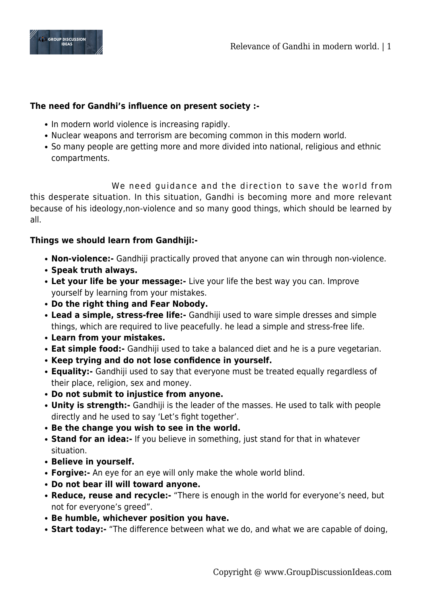

## **The need for Gandhi's influence on present society :-**

- In modern world violence is increasing rapidly.
- Nuclear weapons and terrorism are becoming common in this modern world.
- So many people are getting more and more divided into national, religious and ethnic compartments.

 We need guidance and the direction to save the world from this desperate situation. In this situation, Gandhi is becoming more and more relevant because of his ideology,non-violence and so many good things, which should be learned by all.

## **Things we should learn from Gandhiji:-**

- **Non-violence:-** Gandhiji practically proved that anyone can win through non-violence.
- **Speak truth always.**
- **Let your life be your message:-** Live your life the best way you can. Improve yourself by learning from your mistakes.
- **Do the right thing and Fear Nobody.**
- **Lead a simple, stress-free life:-** Gandhiji used to ware simple dresses and simple things, which are required to live peacefully. he lead a simple and stress-free life.
- **Learn from your mistakes.**
- **Eat simple food:-** Gandhiji used to take a balanced diet and he is a pure vegetarian.
- **Keep trying and do not lose confidence in yourself.**
- **Equality:-** Gandhiji used to say that everyone must be treated equally regardless of their place, religion, sex and money.
- **Do not submit to injustice from anyone.**
- **Unity is strength:-** Gandhiji is the leader of the masses. He used to talk with people directly and he used to say 'Let's fight together'.
- **Be the change you wish to see in the world.**
- **Stand for an idea:-** If you believe in something, just stand for that in whatever situation.
- **Believe in yourself.**
- **Forgive:-** An eye for an eye will only make the whole world blind.
- **Do not bear ill will toward anyone.**
- **Reduce, reuse and recycle:-** "There is enough in the world for everyone's need, but not for everyone's greed".
- **Be humble, whichever position you have.**
- **Start today:-** "The difference between what we do, and what we are capable of doing,